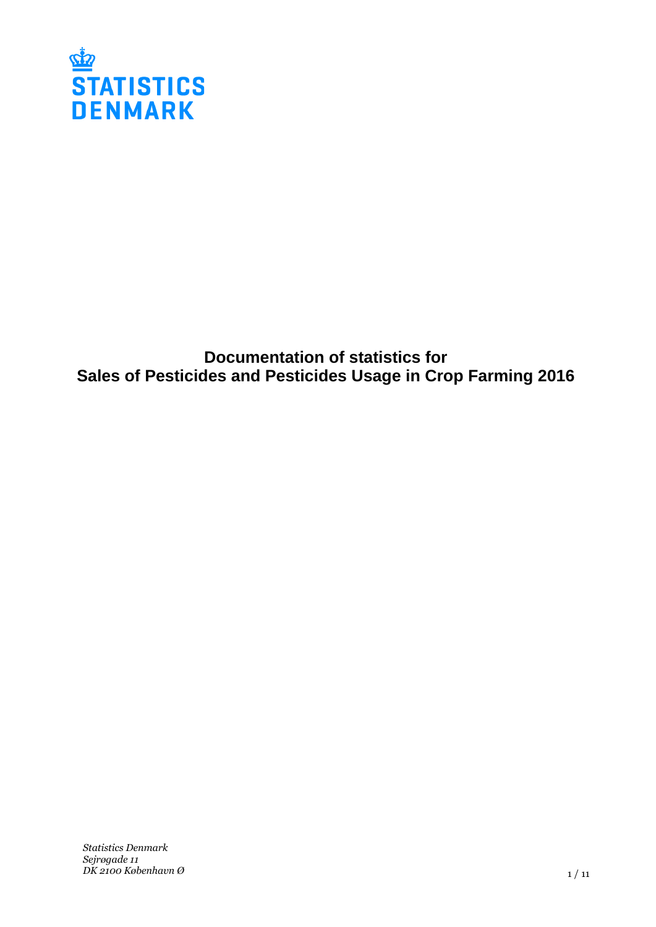

**Documentation of statistics for Sales of Pesticides and Pesticides Usage in Crop Farming 2016**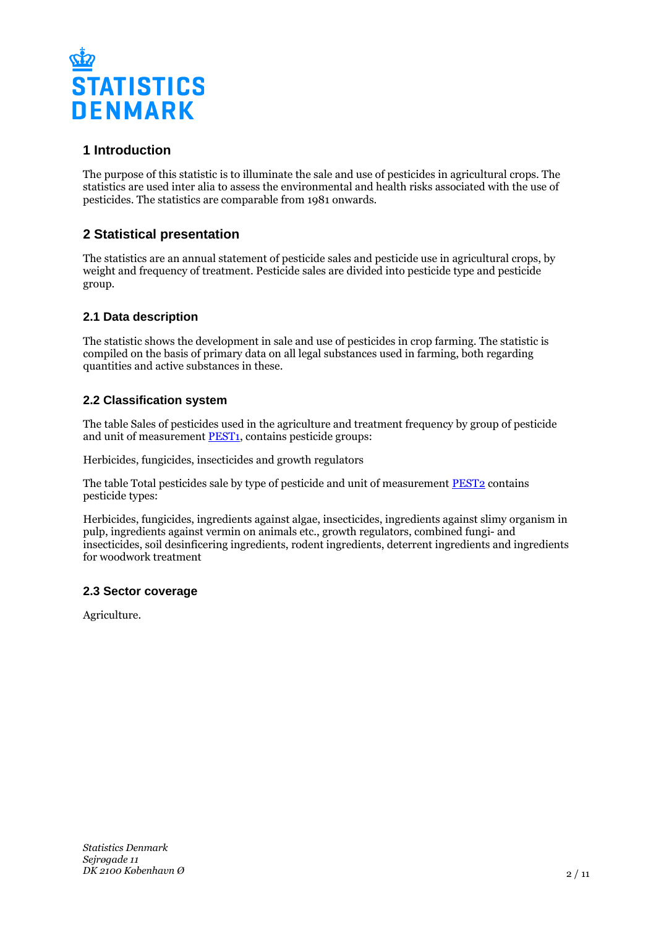

# **1 Introduction**

The purpose of this statistic is to illuminate the sale and use of pesticides in agricultural crops. The statistics are used inter alia to assess the environmental and health risks associated with the use of pesticides. The statistics are comparable from 1981 onwards.

# **2 Statistical presentation**

The statistics are an annual statement of pesticide sales and pesticide use in agricultural crops, by weight and frequency of treatment. Pesticide sales are divided into pesticide type and pesticide group.

# **2.1 Data description**

The statistic shows the development in sale and use of pesticides in crop farming. The statistic is compiled on the basis of primary data on all legal substances used in farming, both regarding quantities and active substances in these.

# **2.2 Classification system**

The table Sales of pesticides used in the agriculture and treatment frequency by group of pesticide and unit of measurement **PEST1**, contains pesticide groups:

Herbicides, fungicides, insecticides and growth regulators

The table Total pesticides sale by type of pesticide and unit of measurement [PEST2](http://www.statbank.dk/PEST2) contains pesticide types:

Herbicides, fungicides, ingredients against algae, insecticides, ingredients against slimy organism in pulp, ingredients against vermin on animals etc., growth regulators, combined fungi- and insecticides, soil desinficering ingredients, rodent ingredients, deterrent ingredients and ingredients for woodwork treatment

## **2.3 Sector coverage**

Agriculture.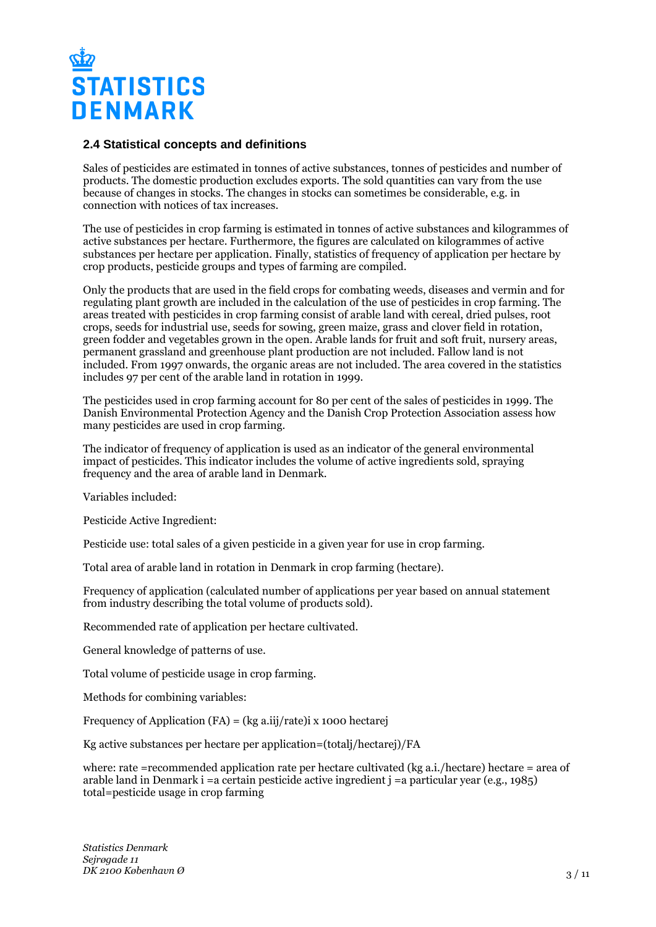

#### **2.4 Statistical concepts and definitions**

Sales of pesticides are estimated in tonnes of active substances, tonnes of pesticides and number of products. The domestic production excludes exports. The sold quantities can vary from the use because of changes in stocks. The changes in stocks can sometimes be considerable, e.g. in connection with notices of tax increases.

The use of pesticides in crop farming is estimated in tonnes of active substances and kilogrammes of active substances per hectare. Furthermore, the figures are calculated on kilogrammes of active substances per hectare per application. Finally, statistics of frequency of application per hectare by crop products, pesticide groups and types of farming are compiled.

Only the products that are used in the field crops for combating weeds, diseases and vermin and for regulating plant growth are included in the calculation of the use of pesticides in crop farming. The areas treated with pesticides in crop farming consist of arable land with cereal, dried pulses, root crops, seeds for industrial use, seeds for sowing, green maize, grass and clover field in rotation, green fodder and vegetables grown in the open. Arable lands for fruit and soft fruit, nursery areas, permanent grassland and greenhouse plant production are not included. Fallow land is not included. From 1997 onwards, the organic areas are not included. The area covered in the statistics includes 97 per cent of the arable land in rotation in 1999.

The pesticides used in crop farming account for 80 per cent of the sales of pesticides in 1999. The Danish Environmental Protection Agency and the Danish Crop Protection Association assess how many pesticides are used in crop farming.

The indicator of frequency of application is used as an indicator of the general environmental impact of pesticides. This indicator includes the volume of active ingredients sold, spraying frequency and the area of arable land in Denmark.

Variables included:

Pesticide Active Ingredient:

Pesticide use: total sales of a given pesticide in a given year for use in crop farming.

Total area of arable land in rotation in Denmark in crop farming (hectare).

Frequency of application (calculated number of applications per year based on annual statement from industry describing the total volume of products sold).

Recommended rate of application per hectare cultivated.

General knowledge of patterns of use.

Total volume of pesticide usage in crop farming.

Methods for combining variables:

Frequency of Application (FA) = (kg a.iij/rate)i x 1000 hectarej

Kg active substances per hectare per application=(totalj/hectarej)/FA

where: rate =recommended application rate per hectare cultivated (kg a.i./hectare) hectare = area of arable land in Denmark i =a certain pesticide active ingredient  $\mathbf{i} =$ a particular year (e.g., 1985) total=pesticide usage in crop farming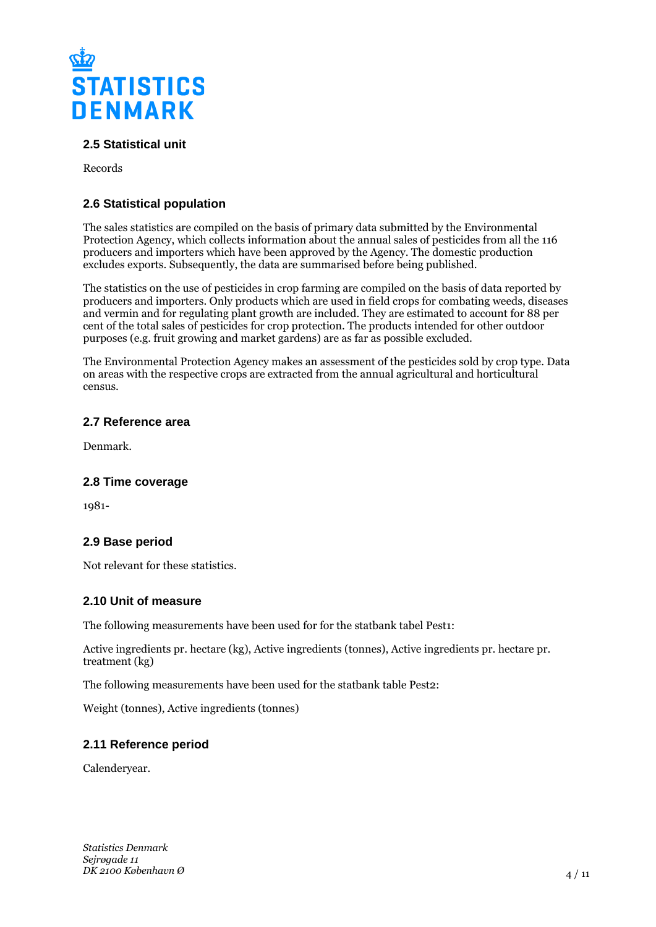

# **2.5 Statistical unit**

Records

# **2.6 Statistical population**

The sales statistics are compiled on the basis of primary data submitted by the Environmental Protection Agency, which collects information about the annual sales of pesticides from all the 116 producers and importers which have been approved by the Agency. The domestic production excludes exports. Subsequently, the data are summarised before being published.

The statistics on the use of pesticides in crop farming are compiled on the basis of data reported by producers and importers. Only products which are used in field crops for combating weeds, diseases and vermin and for regulating plant growth are included. They are estimated to account for 88 per cent of the total sales of pesticides for crop protection. The products intended for other outdoor purposes (e.g. fruit growing and market gardens) are as far as possible excluded.

The Environmental Protection Agency makes an assessment of the pesticides sold by crop type. Data on areas with the respective crops are extracted from the annual agricultural and horticultural census.

#### **2.7 Reference area**

Denmark.

#### **2.8 Time coverage**

1981-

## **2.9 Base period**

Not relevant for these statistics.

#### **2.10 Unit of measure**

The following measurements have been used for for the statbank tabel Pest1:

Active ingredients pr. hectare (kg), Active ingredients (tonnes), Active ingredients pr. hectare pr. treatment (kg)

The following measurements have been used for the statbank table Pest2:

Weight (tonnes), Active ingredients (tonnes)

## **2.11 Reference period**

Calenderyear.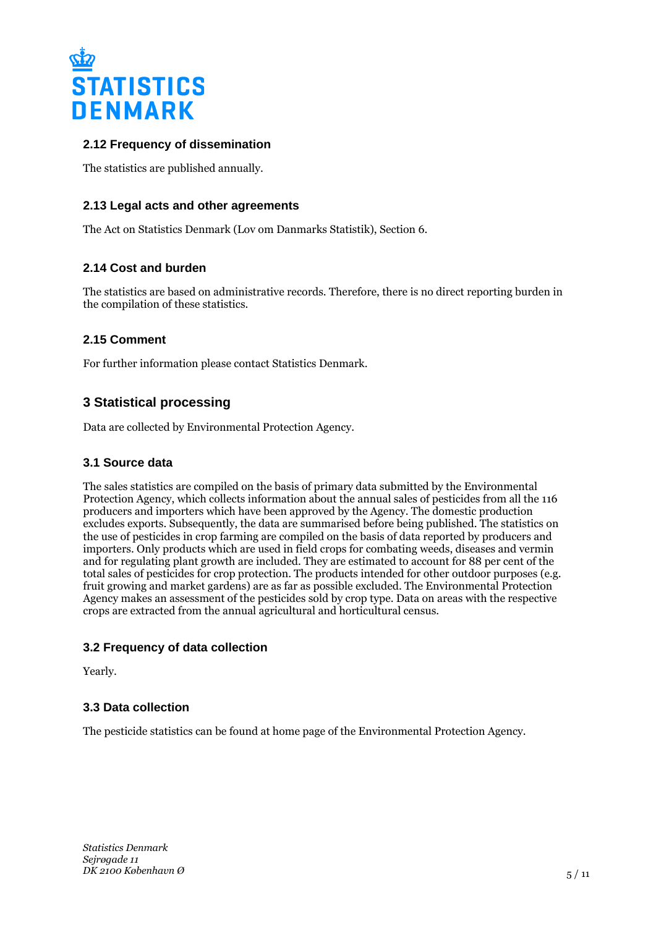

# **2.12 Frequency of dissemination**

The statistics are published annually.

# **2.13 Legal acts and other agreements**

The Act on Statistics Denmark (Lov om Danmarks Statistik), Section 6.

## **2.14 Cost and burden**

The statistics are based on administrative records. Therefore, there is no direct reporting burden in the compilation of these statistics.

## **2.15 Comment**

For further information please contact Statistics Denmark.

# **3 Statistical processing**

Data are collected by Environmental Protection Agency.

#### **3.1 Source data**

The sales statistics are compiled on the basis of primary data submitted by the Environmental Protection Agency, which collects information about the annual sales of pesticides from all the 116 producers and importers which have been approved by the Agency. The domestic production excludes exports. Subsequently, the data are summarised before being published. The statistics on the use of pesticides in crop farming are compiled on the basis of data reported by producers and importers. Only products which are used in field crops for combating weeds, diseases and vermin and for regulating plant growth are included. They are estimated to account for 88 per cent of the total sales of pesticides for crop protection. The products intended for other outdoor purposes (e.g. fruit growing and market gardens) are as far as possible excluded. The Environmental Protection Agency makes an assessment of the pesticides sold by crop type. Data on areas with the respective crops are extracted from the annual agricultural and horticultural census.

## **3.2 Frequency of data collection**

Yearly.

#### **3.3 Data collection**

The pesticide statistics can be found at home page of the Environmental Protection Agency.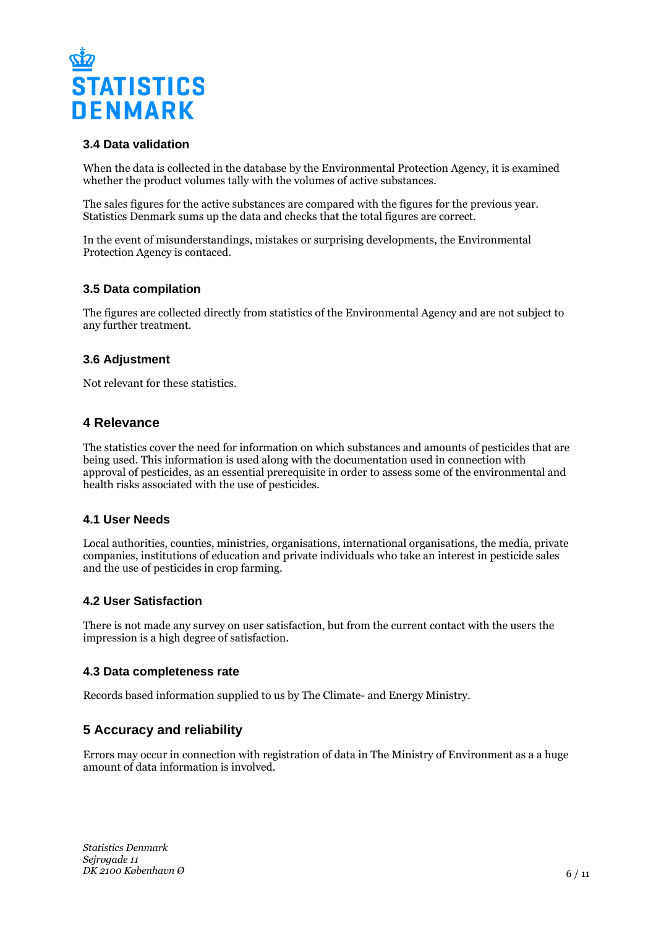

## **3.4 Data validation**

When the data is collected in the database by the Environmental Protection Agency, it is examined whether the product volumes tally with the volumes of active substances.

The sales figures for the active substances are compared with the figures for the previous year. Statistics Denmark sums up the data and checks that the total figures are correct.

In the event of misunderstandings, mistakes or surprising developments, the Environmental Protection Agency is contaced.

#### **3.5 Data compilation**

The figures are collected directly from statistics of the Environmental Agency and are not subject to any further treatment.

#### **3.6 Adjustment**

Not relevant for these statistics.

## **4 Relevance**

The statistics cover the need for information on which substances and amounts of pesticides that are being used. This information is used along with the documentation used in connection with approval of pesticides, as an essential prerequisite in order to assess some of the environmental and health risks associated with the use of pesticides.

## **4.1 User Needs**

Local authorities, counties, ministries, organisations, international organisations, the media, private companies, institutions of education and private individuals who take an interest in pesticide sales and the use of pesticides in crop farming.

## **4.2 User Satisfaction**

There is not made any survey on user satisfaction, but from the current contact with the users the impression is a high degree of satisfaction.

#### **4.3 Data completeness rate**

Records based information supplied to us by The Climate- and Energy Ministry.

# **5 Accuracy and reliability**

Errors may occur in connection with registration of data in The Ministry of Environment as a a huge amount of data information is involved.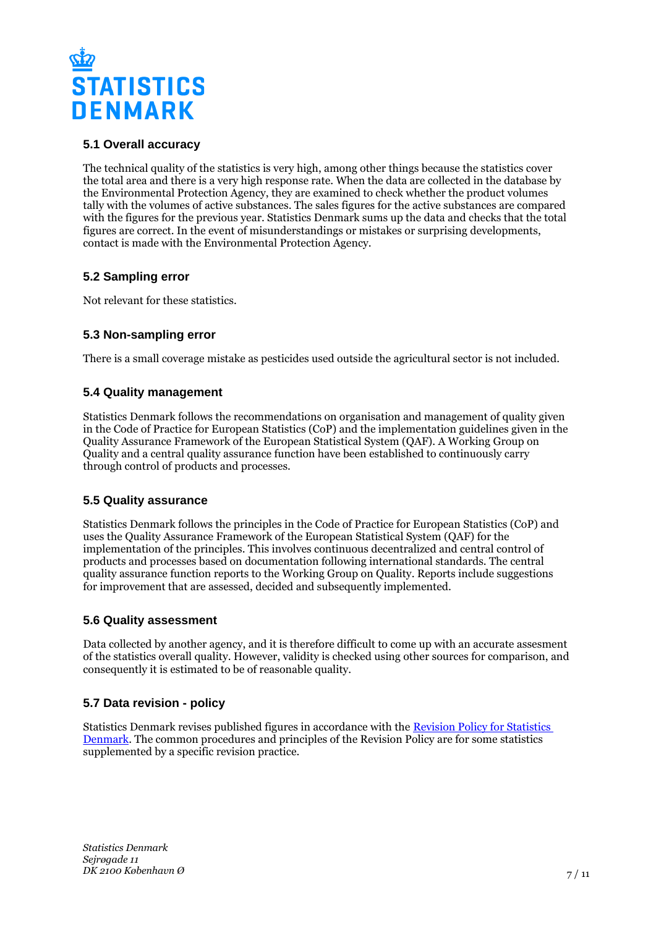

## **5.1 Overall accuracy**

The technical quality of the statistics is very high, among other things because the statistics cover the total area and there is a very high response rate. When the data are collected in the database by the Environmental Protection Agency, they are examined to check whether the product volumes tally with the volumes of active substances. The sales figures for the active substances are compared with the figures for the previous year. Statistics Denmark sums up the data and checks that the total figures are correct. In the event of misunderstandings or mistakes or surprising developments, contact is made with the Environmental Protection Agency.

## **5.2 Sampling error**

Not relevant for these statistics.

## **5.3 Non-sampling error**

There is a small coverage mistake as pesticides used outside the agricultural sector is not included.

## **5.4 Quality management**

Statistics Denmark follows the recommendations on organisation and management of quality given in the Code of Practice for European Statistics (CoP) and the implementation guidelines given in the Quality Assurance Framework of the European Statistical System (QAF). A Working Group on Quality and a central quality assurance function have been established to continuously carry through control of products and processes.

## **5.5 Quality assurance**

Statistics Denmark follows the principles in the Code of Practice for European Statistics (CoP) and uses the Quality Assurance Framework of the European Statistical System (QAF) for the implementation of the principles. This involves continuous decentralized and central control of products and processes based on documentation following international standards. The central quality assurance function reports to the Working Group on Quality. Reports include suggestions for improvement that are assessed, decided and subsequently implemented.

## **5.6 Quality assessment**

Data collected by another agency, and it is therefore difficult to come up with an accurate assesment of the statistics overall quality. However, validity is checked using other sources for comparison, and consequently it is estimated to be of reasonable quality.

## **5.7 Data revision - policy**

Statistics Denmark revises published figures in accordance with the [Revision Policy for Statistics](https://www.dst.dk/en/OmDS/strategi-og-kvalitet/revisionspolitik.aspx)  [Denmark.](https://www.dst.dk/en/OmDS/strategi-og-kvalitet/revisionspolitik.aspx) The common procedures and principles of the Revision Policy are for some statistics supplemented by a specific revision practice.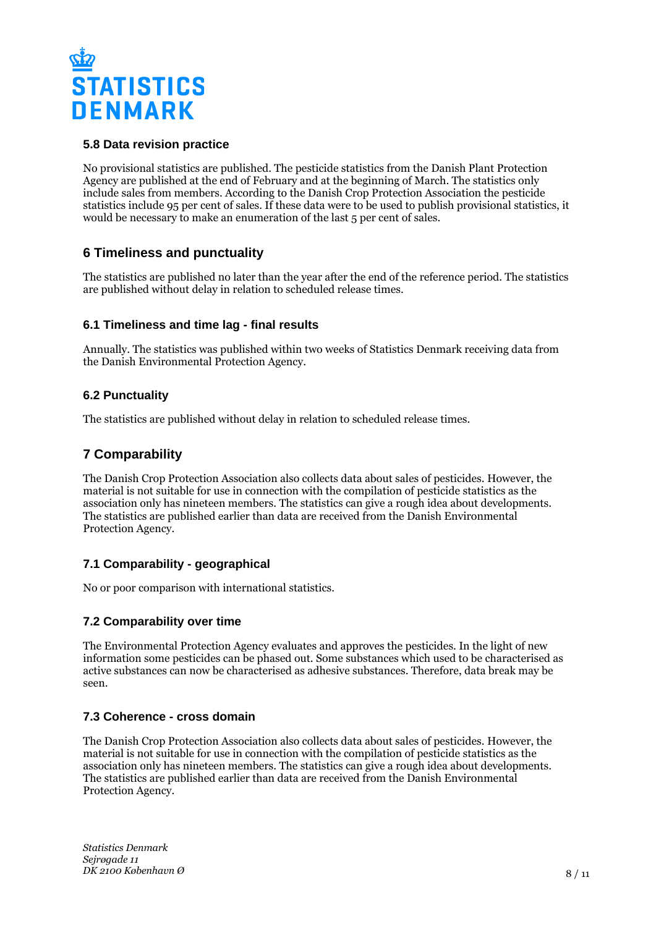

#### **5.8 Data revision practice**

No provisional statistics are published. The pesticide statistics from the Danish Plant Protection Agency are published at the end of February and at the beginning of March. The statistics only include sales from members. According to the Danish Crop Protection Association the pesticide statistics include 95 per cent of sales. If these data were to be used to publish provisional statistics, it would be necessary to make an enumeration of the last 5 per cent of sales.

# **6 Timeliness and punctuality**

The statistics are published no later than the year after the end of the reference period. The statistics are published without delay in relation to scheduled release times.

#### **6.1 Timeliness and time lag - final results**

Annually. The statistics was published within two weeks of Statistics Denmark receiving data from the Danish Environmental Protection Agency.

#### **6.2 Punctuality**

The statistics are published without delay in relation to scheduled release times.

# **7 Comparability**

The Danish Crop Protection Association also collects data about sales of pesticides. However, the material is not suitable for use in connection with the compilation of pesticide statistics as the association only has nineteen members. The statistics can give a rough idea about developments. The statistics are published earlier than data are received from the Danish Environmental Protection Agency.

## **7.1 Comparability - geographical**

No or poor comparison with international statistics.

## **7.2 Comparability over time**

The Environmental Protection Agency evaluates and approves the pesticides. In the light of new information some pesticides can be phased out. Some substances which used to be characterised as active substances can now be characterised as adhesive substances. Therefore, data break may be seen.

## **7.3 Coherence - cross domain**

The Danish Crop Protection Association also collects data about sales of pesticides. However, the material is not suitable for use in connection with the compilation of pesticide statistics as the association only has nineteen members. The statistics can give a rough idea about developments. The statistics are published earlier than data are received from the Danish Environmental Protection Agency.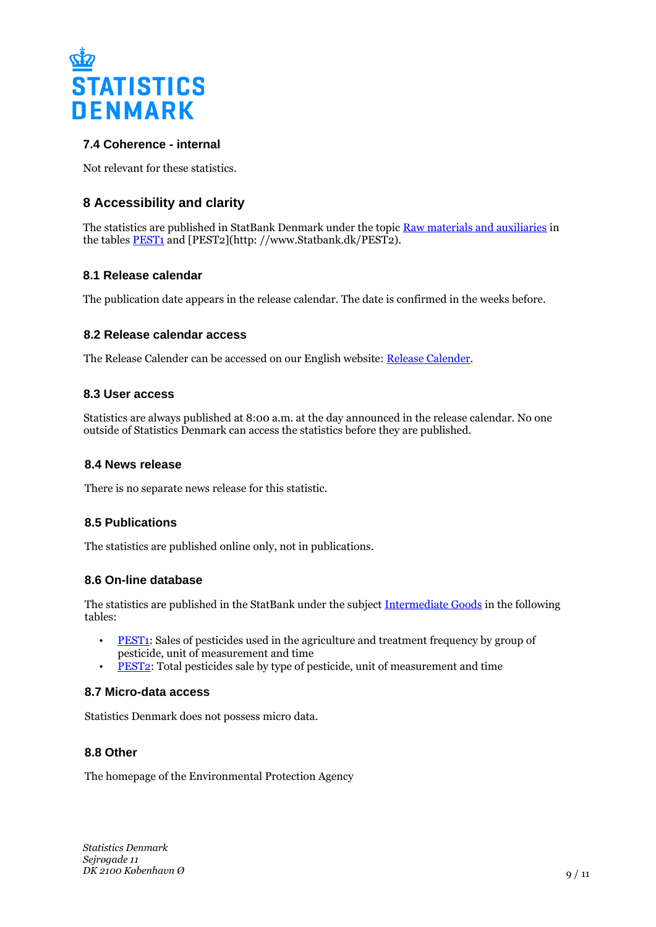

# **7.4 Coherence - internal**

Not relevant for these statistics.

# **8 Accessibility and clarity**

The statistics are published in StatBank Denmark under the topic [Raw materials and auxiliaries](http://www.statbank.dk/10475) in the tables **PEST1** and [PEST2](http://www.Statbank.dk/PEST2).

#### **8.1 Release calendar**

The publication date appears in the release calendar. The date is confirmed in the weeks before.

#### **8.2 Release calendar access**

The Release Calender can be accessed on our English website: [Release Calender.](https://www.dst.dk/en/Statistik/offentliggoerelser.aspx)

#### **8.3 User access**

Statistics are always published at 8:00 a.m. at the day announced in the release calendar. No one outside of Statistics Denmark can access the statistics before they are published.

#### **8.4 News release**

There is no separate news release for this statistic.

#### **8.5 Publications**

The statistics are published online only, not in publications.

#### **8.6 On-line database**

The statistics are published in the StatBank under the subject [Intermediate Goods](http://www.statbank.dk/10475) in the following tables:

- [PEST1:](http://www.statbank.dk/PEST1) Sales of pesticides used in the agriculture and treatment frequency by group of pesticide, unit of measurement and time
- **[PEST2:](http://www.statbank.dk/PEST2)** Total pesticides sale by type of pesticide, unit of measurement and time

#### **8.7 Micro-data access**

Statistics Denmark does not possess micro data.

## **8.8 Other**

The homepage of the Environmental Protection Agency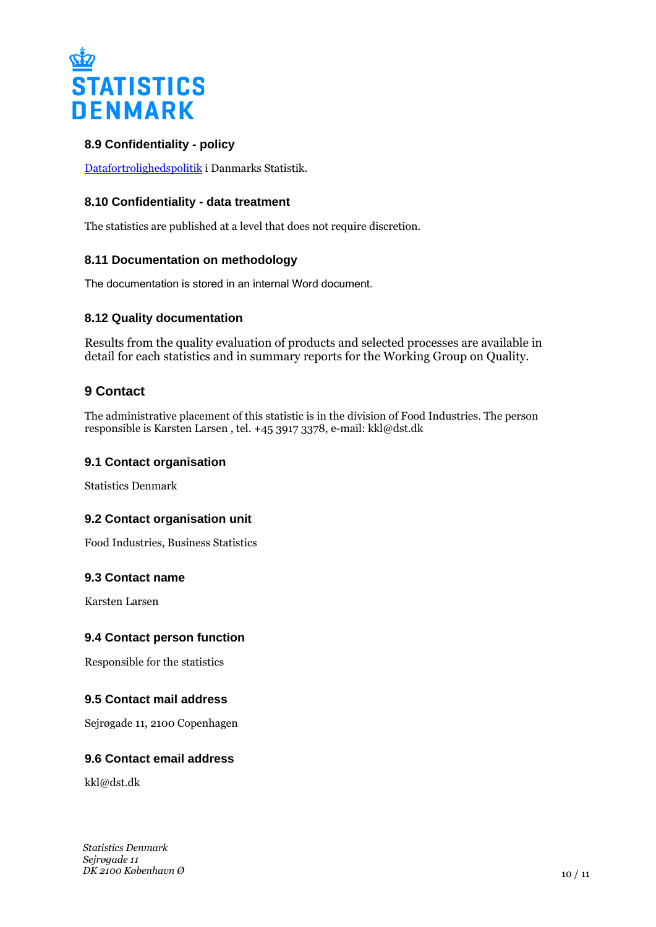

# **8.9 Confidentiality - policy**

[Datafortrolighedspolitik](https://www.dst.dk/ext/292786082/0/formid/Datafortrolighedspolitik-i-Danmarks-Statistik--pdf) i Danmarks Statistik.

## **8.10 Confidentiality - data treatment**

The statistics are published at a level that does not require discretion.

## **8.11 Documentation on methodology**

The documentation is stored in an internal Word document.

#### **8.12 Quality documentation**

Results from the quality evaluation of products and selected processes are available in detail for each statistics and in summary reports for the Working Group on Quality.

# **9 Contact**

The administrative placement of this statistic is in the division of Food Industries. The person responsible is Karsten Larsen , tel. +45 3917 3378, e-mail: kkl@dst.dk

#### **9.1 Contact organisation**

Statistics Denmark

## **9.2 Contact organisation unit**

Food Industries, Business Statistics

#### **9.3 Contact name**

Karsten Larsen

#### **9.4 Contact person function**

Responsible for the statistics

## **9.5 Contact mail address**

Sejrøgade 11, 2100 Copenhagen

#### **9.6 Contact email address**

kkl@dst.dk